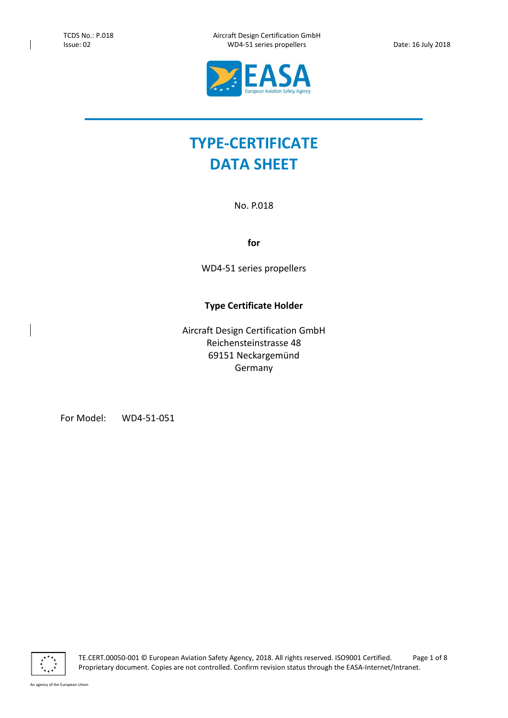

# **TYPE-CERTIFICATE DATA SHEET**

No. P.018

**for**

WD4-51 series propellers

# **Type Certificate Holder**

Aircraft Design Certification GmbH Reichensteinstrasse 48 69151 Neckargemünd Germany

For Model: WD4-51-051



TE.CERT.00050-001 © European Aviation Safety Agency, 2018. All rights reserved. ISO9001 Certified. Page 1 of 8 Proprietary document. Copies are not controlled. Confirm revision status through the EASA-Internet/Intranet.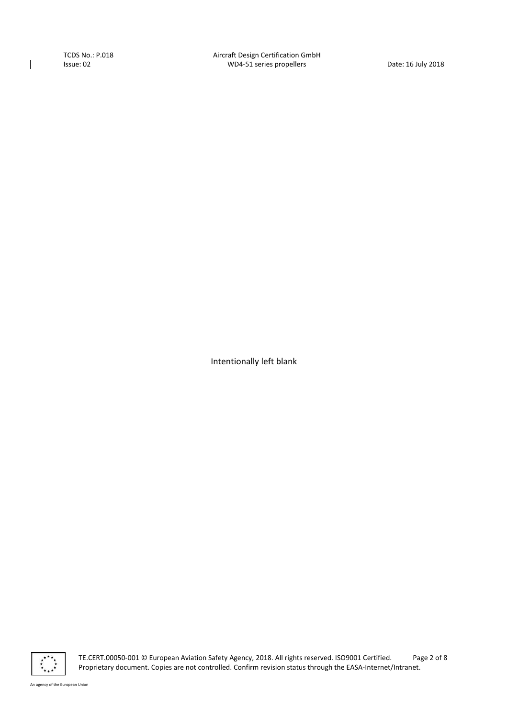Intentionally left blank



TE.CERT.00050-001 © European Aviation Safety Agency, 2018. All rights reserved. ISO9001 Certified. Page 2 of 8 Proprietary document. Copies are not controlled. Confirm revision status through the EASA-Internet/Intranet.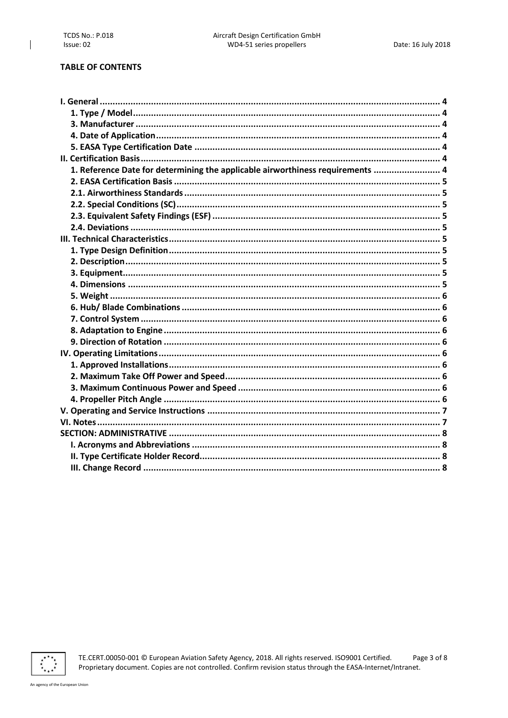# **TABLE OF CONTENTS**

| 1. Reference Date for determining the applicable airworthiness requirements  4 |  |
|--------------------------------------------------------------------------------|--|
|                                                                                |  |
|                                                                                |  |
|                                                                                |  |
|                                                                                |  |
|                                                                                |  |
|                                                                                |  |
|                                                                                |  |
|                                                                                |  |
|                                                                                |  |
|                                                                                |  |
|                                                                                |  |
|                                                                                |  |
|                                                                                |  |
|                                                                                |  |
|                                                                                |  |
|                                                                                |  |
|                                                                                |  |
|                                                                                |  |
|                                                                                |  |
|                                                                                |  |
|                                                                                |  |
|                                                                                |  |
|                                                                                |  |
|                                                                                |  |
|                                                                                |  |
|                                                                                |  |
|                                                                                |  |

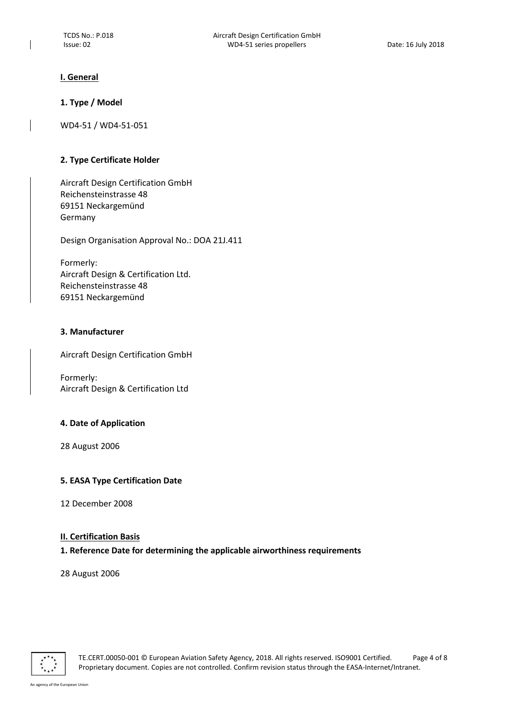# <span id="page-3-0"></span>**I. General**

# <span id="page-3-1"></span>**1. Type / Model**

WD4-51 / WD4-51-051

# **2. Type Certificate Holder**

Aircraft Design Certification GmbH Reichensteinstrasse 48 69151 Neckargemünd Germany

Design Organisation Approval No.: DOA 21J.411

Formerly: Aircraft Design & Certification Ltd. Reichensteinstrasse 48 69151 Neckargemünd

# <span id="page-3-2"></span>**3. Manufacturer**

Aircraft Design Certification GmbH

Formerly: Aircraft Design & Certification Ltd

# <span id="page-3-3"></span>**4. Date of Application**

28 August 2006

# <span id="page-3-4"></span>**5. EASA Type Certification Date**

12 December 2008

# <span id="page-3-5"></span>**II. Certification Basis**

# <span id="page-3-6"></span>**1. Reference Date for determining the applicable airworthiness requirements**

28 August 2006

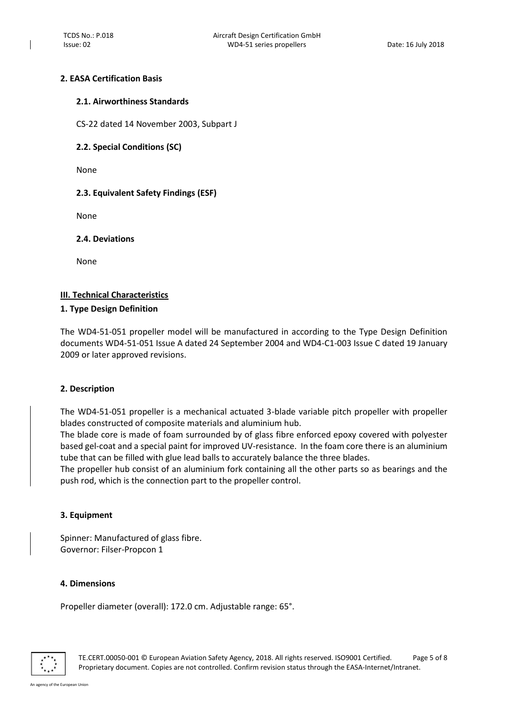#### <span id="page-4-0"></span>**2. EASA Certification Basis**

#### <span id="page-4-1"></span>**2.1. Airworthiness Standards**

CS-22 dated 14 November 2003, Subpart J

# <span id="page-4-2"></span>**2.2. Special Conditions (SC)**

None

# <span id="page-4-3"></span>**2.3. Equivalent Safety Findings (ESF)**

None

<span id="page-4-4"></span>**2.4. Deviations**

None

# <span id="page-4-5"></span>**III. Technical Characteristics**

# <span id="page-4-6"></span>**1. Type Design Definition**

The WD4-51-051 propeller model will be manufactured in according to the Type Design Definition documents WD4-51-051 Issue A dated 24 September 2004 and WD4-C1-003 Issue C dated 19 January 2009 or later approved revisions.

# <span id="page-4-7"></span>**2. Description**

The WD4-51-051 propeller is a mechanical actuated 3-blade variable pitch propeller with propeller blades constructed of composite materials and aluminium hub.

The blade core is made of foam surrounded by of glass fibre enforced epoxy covered with polyester based gel-coat and a special paint for improved UV-resistance. In the foam core there is an aluminium tube that can be filled with glue lead balls to accurately balance the three blades.

The propeller hub consist of an aluminium fork containing all the other parts so as bearings and the push rod, which is the connection part to the propeller control.

# <span id="page-4-8"></span>**3. Equipment**

Spinner: Manufactured of glass fibre. Governor: Filser-Propcon 1

# <span id="page-4-9"></span>**4. Dimensions**

Propeller diameter (overall): 172.0 cm. Adjustable range: 65°.



TE.CERT.00050-001 © European Aviation Safety Agency, 2018. All rights reserved. ISO9001 Certified. Page 5 of 8 Proprietary document. Copies are not controlled. Confirm revision status through the EASA-Internet/Intranet.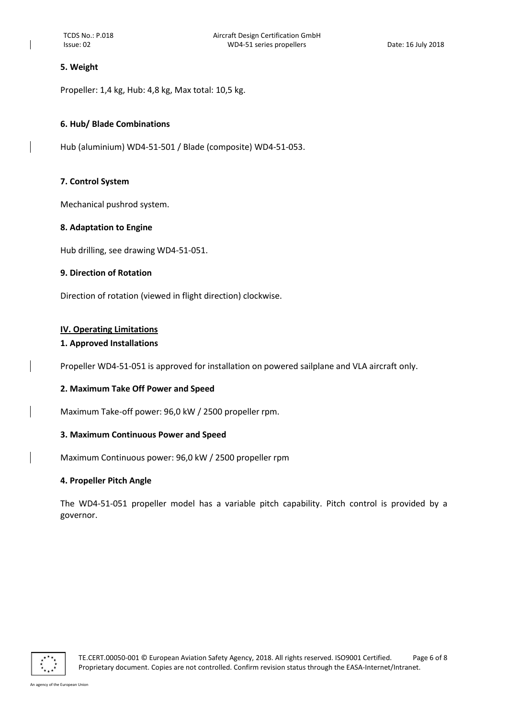#### <span id="page-5-0"></span>**5. Weight**

Propeller: 1,4 kg, Hub: 4,8 kg, Max total: 10,5 kg.

# <span id="page-5-1"></span>**6. Hub/ Blade Combinations**

Hub (aluminium) WD4-51-501 / Blade (composite) WD4-51-053.

#### <span id="page-5-2"></span>**7. Control System**

Mechanical pushrod system.

#### <span id="page-5-3"></span>**8. Adaptation to Engine**

Hub drilling, see drawing WD4-51-051.

#### <span id="page-5-4"></span>**9. Direction of Rotation**

Direction of rotation (viewed in flight direction) clockwise.

#### <span id="page-5-5"></span>**IV. Operating Limitations**

#### <span id="page-5-6"></span>**1. Approved Installations**

Propeller WD4-51-051 is approved for installation on powered sailplane and VLA aircraft only.

# <span id="page-5-7"></span>**2. Maximum Take Off Power and Speed**

Maximum Take-off power: 96,0 kW / 2500 propeller rpm.

#### <span id="page-5-8"></span>**3. Maximum Continuous Power and Speed**

Maximum Continuous power: 96,0 kW / 2500 propeller rpm

# <span id="page-5-9"></span>**4. Propeller Pitch Angle**

The WD4-51-051 propeller model has a variable pitch capability. Pitch control is provided by a governor.

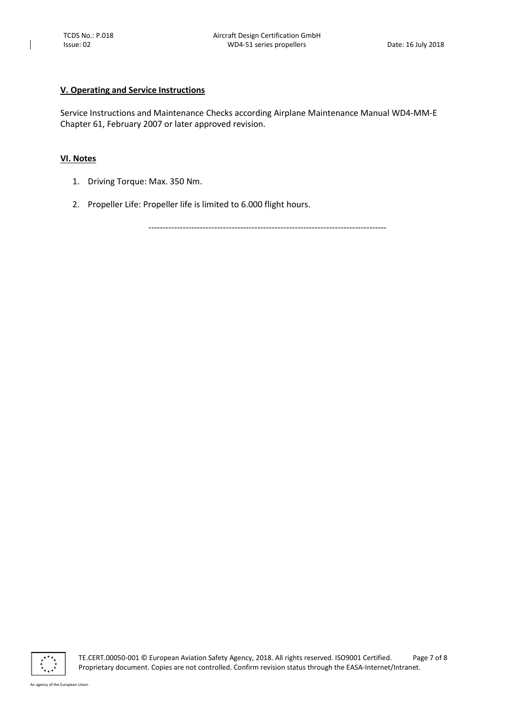# <span id="page-6-0"></span>**V. Operating and Service Instructions**

Service Instructions and Maintenance Checks according Airplane Maintenance Manual WD4-MM-E Chapter 61, February 2007 or later approved revision.

# <span id="page-6-1"></span>**VI. Notes**

- 1. Driving Torque: Max. 350 Nm.
- 2. Propeller Life: Propeller life is limited to 6.000 flight hours.

-----------------------------------------------------------------------------------



TE.CERT.00050-001 © European Aviation Safety Agency, 2018. All rights reserved. ISO9001 Certified. Page 7 of 8 Proprietary document. Copies are not controlled. Confirm revision status through the EASA-Internet/Intranet.